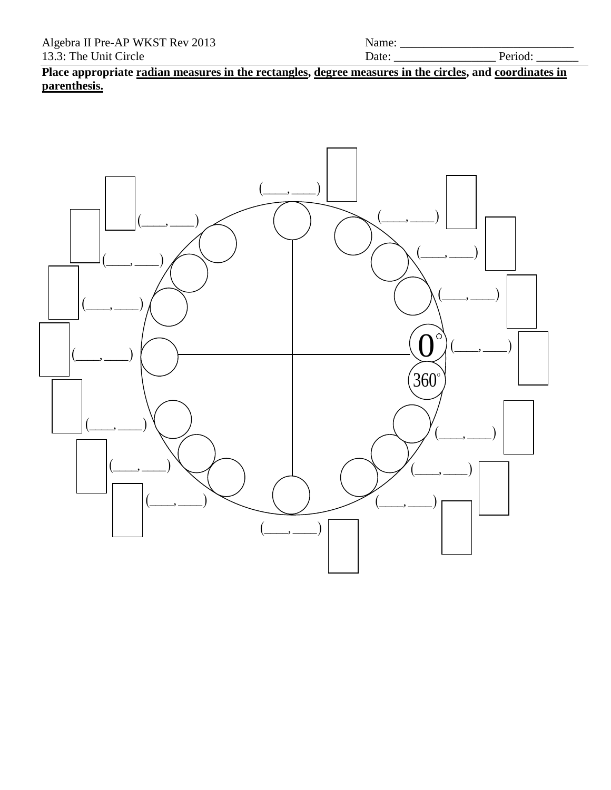13.3: The Unit Circle Date: \_\_\_\_\_\_\_\_\_\_\_\_\_\_\_\_\_ Period: \_\_\_\_\_\_\_ **Place appropriate radian measures in the rectangles, degree measures in the circles, and coordinates in parenthesis.**